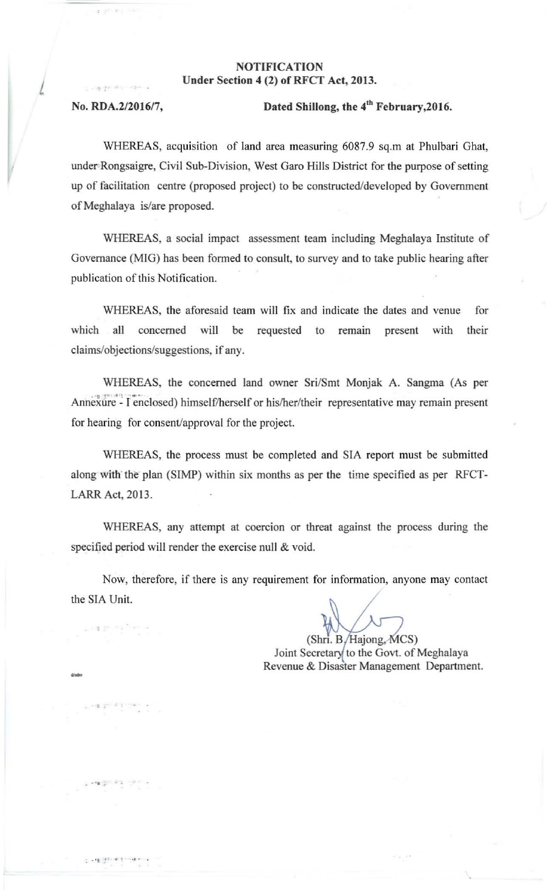## NOTIFICATION Under Section 4 (2) of RFCT Act, 2013.

L

d/adır<br>-

ing ground

• **• 0 • •** 

## No. RDA.2/2016/7, Dated Shillong, the 4<sup>th</sup> February, 2016.

WHEREAS, acquisition of land area measuring 6087.9 sq.m at Phulbari Ghat, under Rongsaigre, Civil Sub-Division, West Garo Hills District for the purpose of setting up of facilitation centre (proposed project) to be constructed/developed by Government ofMeghalaya is/are proposed.

WHEREAS, a social impact assessment team including Meghalaya Institute of Governance (MIG) has been formed to consult, to survey and to take public hearing after publication of this Notification.

WHEREAS, the aforesaid team will fix and indicate the dates and venue for **which all concerned will be requested to remain present with their**  claims/objections/suggestions, if any.

WHEREAS, the concerned land owner Sri/Smt Monjak A. Sangma (As per Annexure - I enclosed) himself/herself or his/her/their representative may remain present for hearing for consent/approval for the project.

WHEREAS, the process must be completed and SIA report must be submitted along with' the plan (SIMP) within six months as per the time specified as per RFCT-LARR Act, 2013.

WHEREAS, any attempt at coercion or threat against the process during the specified period will render the exercise null & void.

Now, **therefore, if there is any requirement for** information, **anyone may contact**  the SIA Unit.

 $(Shr. B/Ha$ jong,  $MCS$ ) Joint Secretary to the Govt. of Meghalaya **Revenue & Disaster Management Department.**